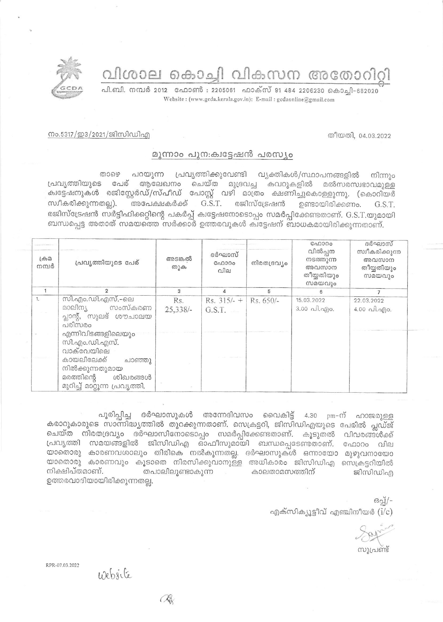വിശാല കൊച്ചി വികസന അതോറിറ്റി

പി.ബി. നമ്പർ 2012 ഫോൺ : 2205061 ഫാക്സ് 91 484 2206230 കൊച്ചി-682020 Website: (www.gcda.kerala.gov.in); E-mail: gcdaonline@gmail.com

നം.5317/ഇ3/2021/ജിസിഡിഎ

## മുന്നാം പുന:ക്വട്ടേഷൻ പരസ്യം

താഴെ പറയുന്ന പ്രവൃത്തിക്കുവേണ്ടി വ്യക്തികൾ/സ്ഥാപനങ്ങളിൽ നിന്നും പ്രവൃത്തിയുടെ പേര് ആലേഖനം ചെയ്ത മുദ്രവച്ച കവറുകളിൽ മൽസരസ്വഭാവമുള്ള ക്വട്ടേഷനുകൾ രജിസ്റ്റേർഡ്/സ്പീഡ് പോസ്റ്റ് വഴി മാത്രം ക്ഷണിച്ചുകൊള്ളുന്നു. (കൊറിയർ രജിസ്ട്രേഷൻ ഉണ്ടായിരിക്കണം. സ്വീകരിക്കുന്നതല്ല). അപേക്ഷകർക്ക്  $G.S.T.$ G.S.T. രജിസ്ട്രേഷൻ സർട്ടിഫിക്കറ്റിന്റെ പകർപ്പ് ക്വട്ടേഷനോടൊപ്പം സമർപ്പിക്കേണ്ടതാണ്. G.S.T.യുമായി ബന്ധപ്പെട്ട അതാത് സമയത്തെ സർക്കാർ ഉത്തരവുകൾ കിട്ടേഷന് ബാധകമായിരിക്കുന്നതാണ്.

| $L \oplus \Omega$<br>നമ്പർ | പ്രവൃത്തിയുടെ പേര്                                                                                                                                       | അടങ്കൽ<br>തുക     | ദർഘാസ്<br>ഫോറം<br>വില             | നിരതദ്രവ്യം | GAD300<br>വിൽപ്പന<br>നടത്തുന്ന<br>അവസാന<br>തീയ്യതിയും<br>സമയവും | ദർഘാസ്<br>സ്വീകരിക്കുന്ന<br>അവസാന<br>തീയ്യതിയും<br>സമയവും           |
|----------------------------|----------------------------------------------------------------------------------------------------------------------------------------------------------|-------------------|-----------------------------------|-------------|-----------------------------------------------------------------|---------------------------------------------------------------------|
|                            | $\overline{2}$                                                                                                                                           | 3                 | Δ                                 | 5           |                                                                 |                                                                     |
| 1.                         | സി.എം.ഡി.എസ്.–ലെ<br>സംസ്കരണ<br>മാലിന്യ<br>പ്ലാന്റ്, സുലഭ് ശൗചാലയ<br>പരിസരം                                                                               | Rs.<br>$25,338/-$ | Rs. $315/- +$ Rs. 650/-<br>G.S.T. |             | 15.03.2022<br>$3.00 \text{ }\Omega$ . $\Omega$ . $\Omega$ .     | 22.03.2022<br>4.00 $\alpha$ $\beta$ , $\alpha$ $\beta$ ) $\alpha$ . |
|                            | എന്നിവിടങ്ങളിലെയും<br>സി.എം.ഡി.എസ്.<br>വാക്വേയിലെ<br>കായലിലേക്ക്<br>ചാഞ്ഞു<br>നിൽക്കുന്നതുമായ<br>മരത്തിന്റെ<br>ശിഖരങ്ങൾ<br>മുറിച്ച് മാറ്റുന്ന പ്രവൃത്തി. |                   |                                   |             |                                                                 |                                                                     |

പൂരിപ്പിച്ച ദർഘാസുകൾ അന്നേദിവസം വൈകിട്ട് 4.30 pm-ന് ഹാജരുള്ള കരാറുകാരുടെ സാന്നിദ്ധ്യത്തിൽ തുറക്കുന്നതാണ്. സെക്രട്ടറി, ജിസിഡിഎയുടെ പേരിൽ പ്ലഡ്ജ് ചെയ്ത നിരതദ്രവ്യം ദർഘാസിനോടൊപ്പം സമർപ്പിക്കേണ്ടതാണ്. കൂടുതൽ വിവരങ്ങൾക്ക് പ്രവൃത്തി സമയങ്ങളിൽ ജിസിഡിഎ ഓഫീസുമായി ബന്ധപ്പെടേണ്ടതാണ്. ഫോറം വില യാതൊരു കാരണവശാലും തിരികെ നൽകുന്നതല്ല. ദർഘാസുകൾ ഒന്നായോ മുഴുവനായോ യാതൊരു കാരണവും കൂടാതെ നിരസിക്കുവാനുള്ള അധികാരം ജിസിഡിഎ സെക്രട്ടറിയിൽ നിക്ഷിപ്തമാണ്. തപാലിലുണ്ടാകുന്ന കാലതാമസത്തിന് ജിസിഡിഎ ഉത്തരവാദിയായിരിക്കുന്നതല്ല.

> $69q$ എക്സിക്യൂട്ടീവ് എഞ്ചിനീയർ  $(i/c)$

തീയതി, 04.03.2022

RPR-07.03.2022

website

**B**